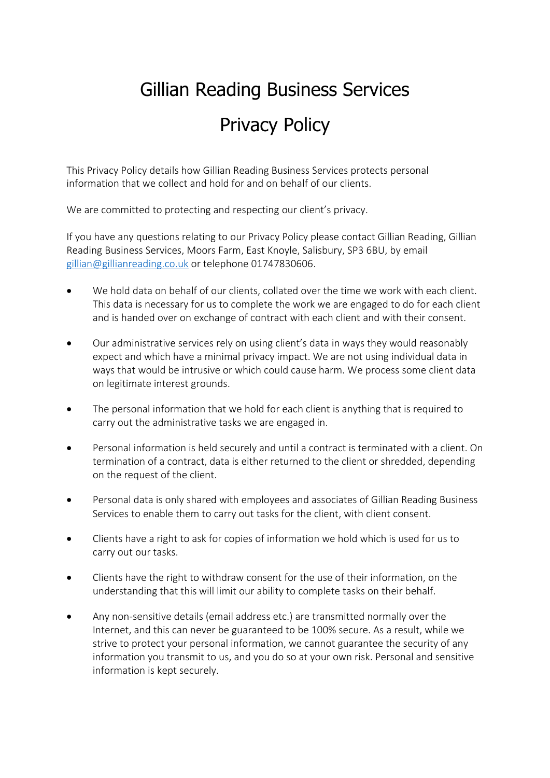## Gillian Reading Business Services Privacy Policy

This Privacy Policy details how Gillian Reading Business Services protects personal information that we collect and hold for and on behalf of our clients.

We are committed to protecting and respecting our client's privacy.

If you have any questions relating to our Privacy Policy please contact Gillian Reading, Gillian Reading Business Services, Moors Farm, East Knoyle, Salisbury, SP3 6BU, by email [gillian@gillianreading.co.uk](mailto:gillian@gillianreading.co.uk) or telephone 01747830606.

- We hold data on behalf of our clients, collated over the time we work with each client. This data is necessary for us to complete the work we are engaged to do for each client and is handed over on exchange of contract with each client and with their consent.
- Our administrative services rely on using client's data in ways they would reasonably expect and which have a minimal privacy impact. We are not using individual data in ways that would be intrusive or which could cause harm. We process some client data on legitimate interest grounds.
- The personal information that we hold for each client is anything that is required to carry out the administrative tasks we are engaged in.
- Personal information is held securely and until a contract is terminated with a client. On termination of a contract, data is either returned to the client or shredded, depending on the request of the client.
- Personal data is only shared with employees and associates of Gillian Reading Business Services to enable them to carry out tasks for the client, with client consent.
- Clients have a right to ask for copies of information we hold which is used for us to carry out our tasks.
- Clients have the right to withdraw consent for the use of their information, on the understanding that this will limit our ability to complete tasks on their behalf.
- Any non-sensitive details (email address etc.) are transmitted normally over the Internet, and this can never be guaranteed to be 100% secure. As a result, while we strive to protect your personal information, we cannot guarantee the security of any information you transmit to us, and you do so at your own risk. Personal and sensitive information is kept securely.